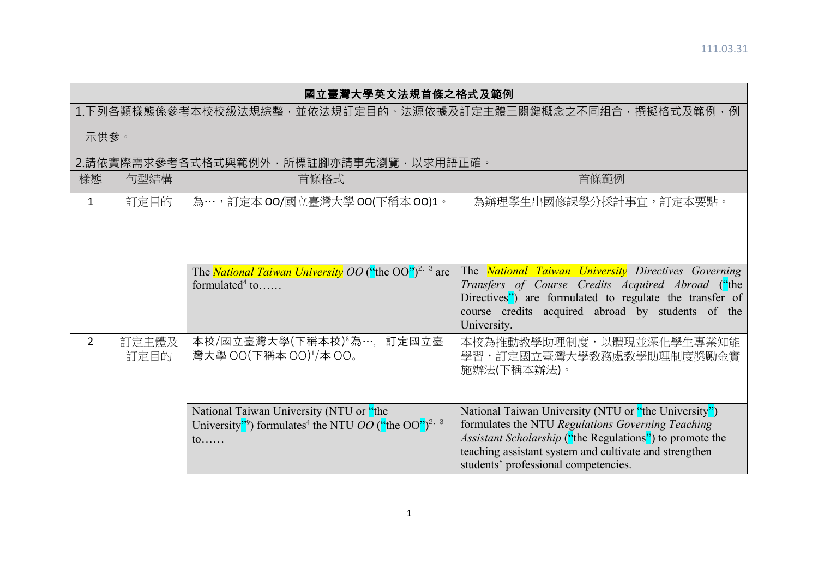## 國立臺灣大學英文法規首條之格式及範例

1.下列各類樣態係參考本校校級法規綜整,並依法規訂定目的、法源依據及訂定主體三關鍵概念之不同組合,撰擬格式及範例,例

示供參。

## │2.請依實際需求參考各式格式與範例外,所標註腳亦請事先瀏覽,以求用語正確。

| 樣態             | 句型結構          | 首條格式                                                                                                                                             | 首條範例                                                                                                                                                                                                                                                                           |
|----------------|---------------|--------------------------------------------------------------------------------------------------------------------------------------------------|--------------------------------------------------------------------------------------------------------------------------------------------------------------------------------------------------------------------------------------------------------------------------------|
| 1              | 訂定目的          | 為…,訂定本 00/國立臺灣大學 00(下稱本 00)1。                                                                                                                    | 為辦理學生出國修課學分採計事宜,訂定本要點。                                                                                                                                                                                                                                                         |
|                |               | The <i>National Taiwan University OO</i> ("the OO") <sup>2, 3</sup> are<br>formulated <sup>4</sup> to                                            | The <b>National Taiwan University</b> Directives Governing<br>Transfers of Course Credits Acquired Abroad ("the<br>Directives") are formulated to regulate the transfer of<br>course credits acquired abroad by students of the<br>University.                                 |
| $\overline{2}$ | 訂定主體及<br>訂定目的 | 本校/國立臺灣大學(下稱本校)。為…,訂定國立臺<br>灣大學 OO(下稱本 OO)1/本 OO。                                                                                                | 本校為推動教學助理制度,以體現並深化學生專業知能<br>學習,訂定國立臺灣大學教務處教學助理制度獎勵金實<br>施辦法(下稱本辦法)。                                                                                                                                                                                                            |
|                |               | National Taiwan University (NTU or "the<br>University"?) formulates <sup>4</sup> the NTU <i>OO</i> ("the OO") <sup>2, 3</sup><br>$\mathfrak{to}$ | National Taiwan University (NTU or "the University")<br>formulates the NTU Regulations Governing Teaching<br><i>Assistant Scholarship</i> ("the Regulations") to promote the<br>teaching assistant system and cultivate and strengthen<br>students' professional competencies. |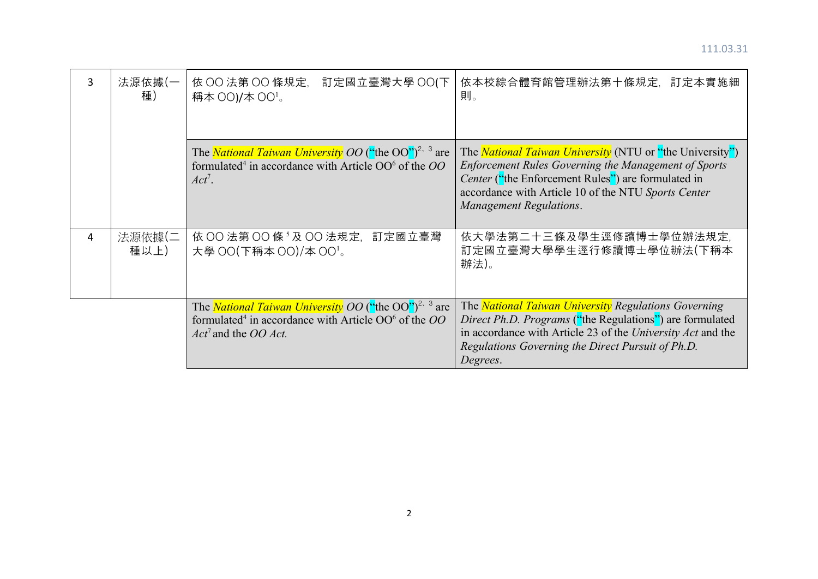| 3 | 法源依據(一<br>種)   | 依 OO 法第 OO 條規定,<br>訂定國立臺灣大學 OO(下<br>稱本 00)/本 00 <sup>1</sup> 。                                                                                                                            | 依本校綜合體育館管理辦法第十條規定,訂定本實施細<br>則。                                                                                                                                                                                                                                  |
|---|----------------|-------------------------------------------------------------------------------------------------------------------------------------------------------------------------------------------|-----------------------------------------------------------------------------------------------------------------------------------------------------------------------------------------------------------------------------------------------------------------|
|   |                | The <i>National Taiwan University OO</i> ("the OO") <sup>2, 3</sup> are<br>formulated <sup>4</sup> in accordance with Article OO <sup>6</sup> of the OO<br>$Act^7$ .                      | The <i>National Taiwan University</i> (NTU or "the University")<br>Enforcement Rules Governing the Management of Sports<br>Center ("the Enforcement Rules") are formulated in<br>accordance with Article 10 of the NTU Sports Center<br>Management Regulations. |
| 4 | 法源依據(二<br>種以上) | 依 OO 法第 OO 條 3 及 OO 法規定, 訂定國立臺灣<br>大學 00(下稱本 00)/本 00'。                                                                                                                                   | 依大學法第二十三條及學生逕修讀博士學位辦法規定,<br>訂定國立臺灣大學學生逕行修讀博士學位辦法(下稱本<br>辦法)。                                                                                                                                                                                                    |
|   |                | The <i>National Taiwan University OO</i> ("the OO") <sup>2, 3</sup> are<br>formulated <sup>4</sup> in accordance with Article OO <sup>6</sup> of the OO<br>$Act7$ and the <i>OO Act</i> . | The <i>National Taiwan University Regulations Governing</i><br>Direct Ph.D. Programs ("the Regulations") are formulated<br>in accordance with Article 23 of the University Act and the<br>Regulations Governing the Direct Pursuit of Ph.D.<br>Degrees.         |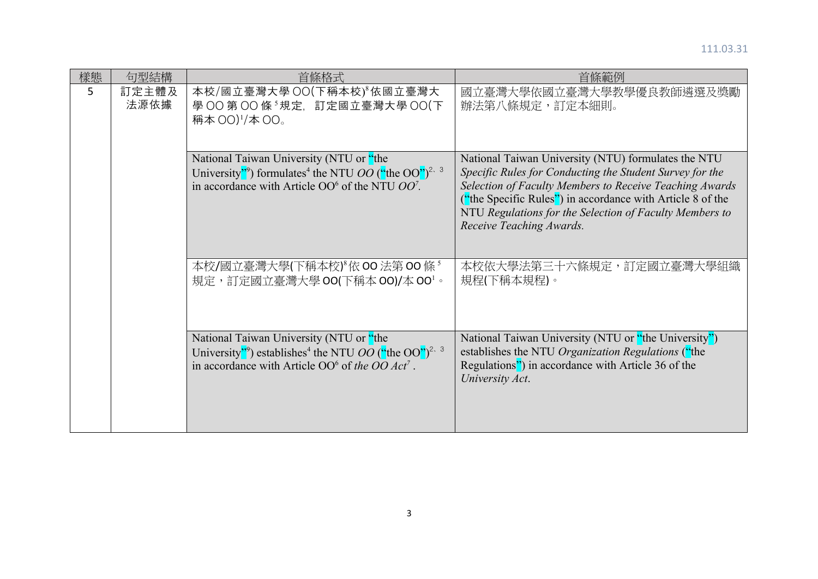| 樣態 | 句型結構<br>首條格式  |                                                                                                                                                                                                   | 首條範例                                                                                                                                                                                                                                                                                                                            |  |
|----|---------------|---------------------------------------------------------------------------------------------------------------------------------------------------------------------------------------------------|---------------------------------------------------------------------------------------------------------------------------------------------------------------------------------------------------------------------------------------------------------------------------------------------------------------------------------|--|
| 5  | 訂定主體及<br>法源依據 | 本校/國立臺灣大學 OO(下稱本校) & 威立臺灣大<br>學 OO 第 OO 條 5 規定, 訂定國立臺灣大學 OO(下<br>稱本 00) <sup>1</sup> /本 00。                                                                                                       | 國立臺灣大學依國立臺灣大學教學優良教師遴選及獎勵<br>辦法第八條規定,訂定本細則。                                                                                                                                                                                                                                                                                      |  |
|    |               | National Taiwan University (NTU or "the<br>University"?) formulates <sup>4</sup> the NTU <i>OO</i> ("the OO") <sup>2, 3</sup><br>in accordance with Article $OO6$ of the NTU $OO7$ .              | National Taiwan University (NTU) formulates the NTU<br>Specific Rules for Conducting the Student Survey for the<br>Selection of Faculty Members to Receive Teaching Awards<br>("the Specific Rules") in accordance with Article 8 of the<br>NTU Regulations for the Selection of Faculty Members to<br>Receive Teaching Awards. |  |
|    |               | 本校/國立臺灣大學(下稱本校) 依 00 法第 00 條 5<br>規定,訂定國立臺灣大學 00(下稱本 00)/本 00'。                                                                                                                                   | 本校依大學法第三十六條規定,訂定國立臺灣大學組織<br>規程(下稱本規程)。                                                                                                                                                                                                                                                                                          |  |
|    |               | National Taiwan University (NTU or "the<br>University"?) establishes <sup>4</sup> the NTU <i>OO</i> ("the OO") <sup>2, 3</sup><br>in accordance with Article $OO6$ of the $OO$ Act <sup>7</sup> . | National Taiwan University (NTU or "the University")<br>establishes the NTU Organization Regulations ("the<br>Regulations") in accordance with Article 36 of the<br>University Act.                                                                                                                                             |  |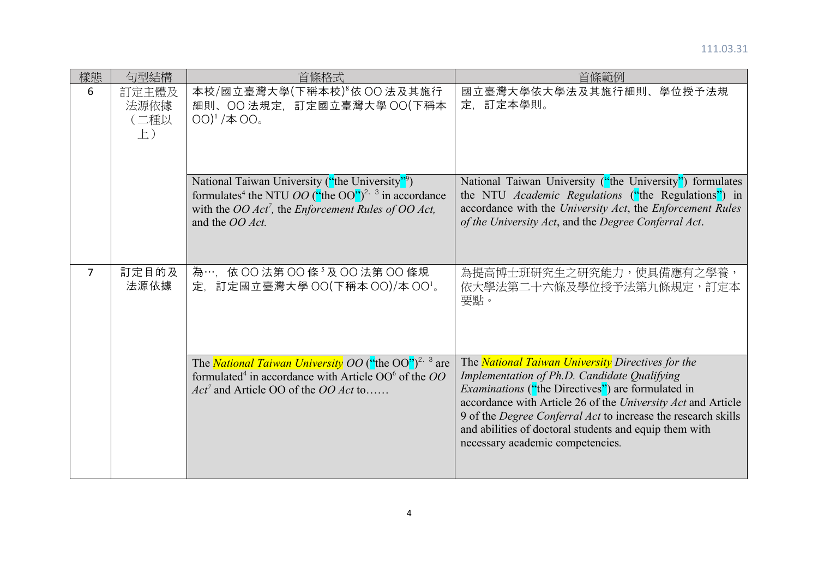| 樣態 | 句型結構                             | 首條格式                                                                                                                                                                                                                      | 首條範例                                                                                                                                                                                                                                                                                                                                                                                                |  |
|----|----------------------------------|---------------------------------------------------------------------------------------------------------------------------------------------------------------------------------------------------------------------------|-----------------------------------------------------------------------------------------------------------------------------------------------------------------------------------------------------------------------------------------------------------------------------------------------------------------------------------------------------------------------------------------------------|--|
| 6  | 訂定主體及<br>法源依據<br>(二種以<br>$\pm$ ) | 本校/國立臺灣大學(下稱本校) 6 依 OO 法及其施行<br>細則、OO 法規定, 訂定國立臺灣大學 OO(下稱本<br>$[00]^1 / 100$ 。                                                                                                                                            | 國立臺灣大學依大學法及其施行細則、<br>學位授予法規<br>定、訂定本學則。                                                                                                                                                                                                                                                                                                                                                             |  |
|    |                                  | National Taiwan University ("the University")<br>formulates <sup>4</sup> the NTU <i>OO</i> ("the OO") <sup>2, 3</sup> in accordance<br>with the OO Act <sup>7</sup> , the Enforcement Rules of OO Act,<br>and the OO Act. | National Taiwan University ("the University") formulates<br>the NTU Academic Regulations ("the Regulations") in<br>accordance with the University Act, the Enforcement Rules<br>of the University Act, and the Degree Conferral Act.                                                                                                                                                                |  |
| 7  | 訂定目的及<br>法源依據                    | 為…, 依 OO 法第 OO 條 5 及 OO 法第 OO 條規<br>定, 訂定國立臺灣大學 OO(下稱本 OO)/本 OO'。                                                                                                                                                         | 為提高博士班研究生之研究能力,使具備應有之學養,<br>依大學法第二十六條及學位授予法第九條規定,訂定本<br>要點。                                                                                                                                                                                                                                                                                                                                         |  |
|    |                                  | The <i>National Taiwan University OO</i> ("the OO") <sup>2, 3</sup> are<br>formulated <sup>4</sup> in accordance with Article OO <sup>6</sup> of the OO<br>$Act^7$ and Article OO of the <i>OO Act</i> to                 | The <b>National Taiwan University</b> Directives for the<br>Implementation of Ph.D. Candidate Qualifying<br><i>Examinations</i> ("the Directives") are formulated in<br>accordance with Article 26 of the University Act and Article<br>9 of the Degree Conferral Act to increase the research skills<br>and abilities of doctoral students and equip them with<br>necessary academic competencies. |  |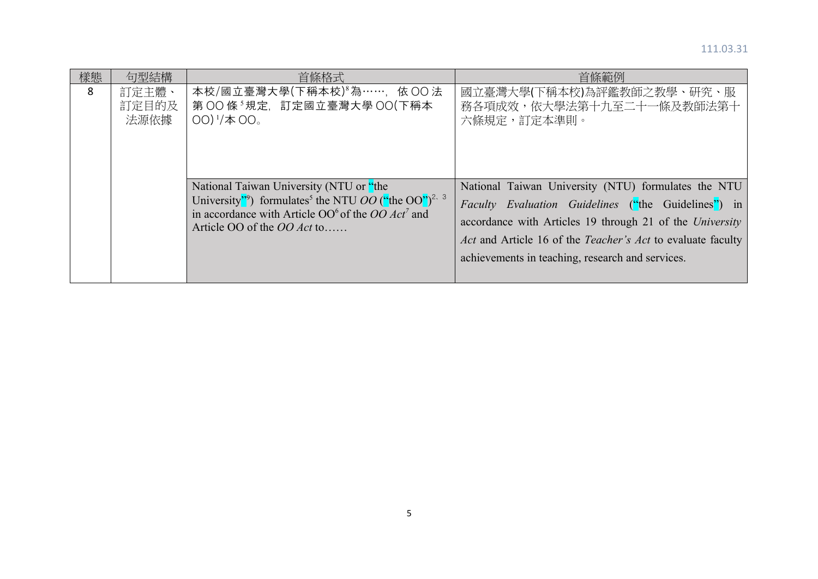| 樣態 | 句型結構                   | 首條格式                                                                                                                                                                                                                                     | 首條範例                                                                                                                                                                                                                                                                                             |
|----|------------------------|------------------------------------------------------------------------------------------------------------------------------------------------------------------------------------------------------------------------------------------|--------------------------------------------------------------------------------------------------------------------------------------------------------------------------------------------------------------------------------------------------------------------------------------------------|
| 8  | 訂定主體、<br>訂定目的及<br>法源依據 | 本校/國立臺灣大學(下稱本校) <sup>8</sup> 為……, 依 OO 法<br>第 OO 條 <sup>5</sup> 規定,訂定國立臺灣大學 OO(下稱本<br>$OO)^1/\#OO$ 。                                                                                                                                     | 國立臺灣大學(下稱本校)為評鑑教師之教學、研究、服<br>務各項成效,依大學法第十九至二十一條及教師法第十<br>六條規定,訂定本準則。                                                                                                                                                                                                                             |
|    |                        | National Taiwan University (NTU or "the<br>University"?) formulates <sup>5</sup> the NTU <i>OO</i> ("the OO") <sup>2, 3</sup><br>in accordance with Article $OO6$ of the $OO$ Act <sup>7</sup> and<br>Article OO of the <i>OO Act</i> to | National Taiwan University (NTU) formulates the NTU<br><i>Faculty Evaluation Guidelines</i> ("the Guidelines") in<br>accordance with Articles 19 through 21 of the University<br>Act and Article 16 of the Teacher's Act to evaluate faculty<br>achievements in teaching, research and services. |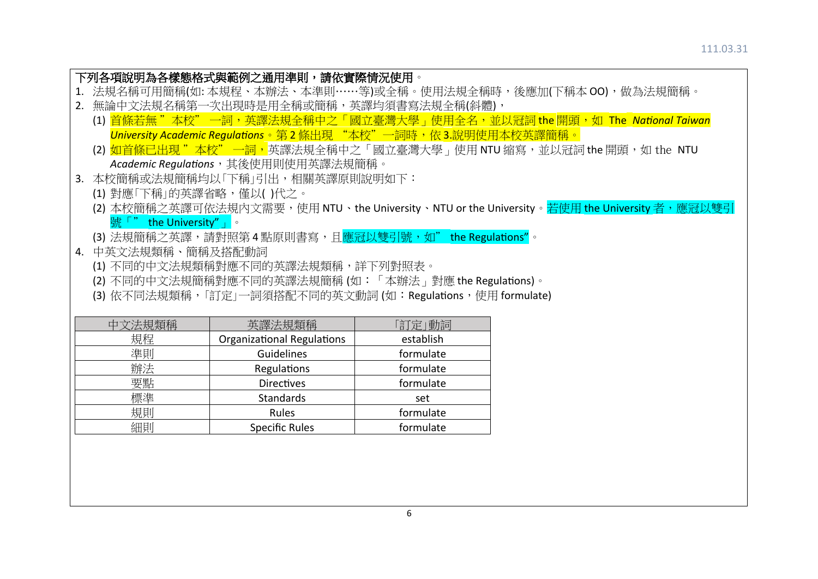|    | 下列各項說明為各樣態格式與範例之通用準則,請依實際情況使用。                                                                           |                                                           |           |                                                                                             |  |  |
|----|----------------------------------------------------------------------------------------------------------|-----------------------------------------------------------|-----------|---------------------------------------------------------------------------------------------|--|--|
|    | 1. 法規名稱可用簡稱(如:本規程、本辦法、本準則……等)或全稱。使用法規全稱時,後應加(下稱本 00),做為法規簡稱。                                             |                                                           |           |                                                                                             |  |  |
| 2. |                                                                                                          | 無論中文法規名稱第一次出現時是用全稱或簡稱,英譯均須書寫法規全稱(斜體),                     |           |                                                                                             |  |  |
|    |                                                                                                          |                                                           |           | (1) <mark>首條若無 "本校" 一詞,英譯法規全稱中之「國立臺灣大學」使用全名,並以冠詞 the 開頭,如 The <i>National Taiwan</i></mark> |  |  |
|    | University Academic Regulations。第2條出現 "本校"一詞時,依 3.說明使用本校英譯簡稱。                                            |                                                           |           |                                                                                             |  |  |
|    | (2) <mark>如首條已出現 "本校" 一詞,</mark> 英譯法規全稱中之「國立臺灣大學 」 使用 NTU 縮寫,並以冠詞 the 開頭,如 the NTU                       |                                                           |           |                                                                                             |  |  |
|    |                                                                                                          | Academic Regulations, 其後使用則使用英譯法規簡稱。                      |           |                                                                                             |  |  |
|    |                                                                                                          | 3. 本校簡稱或法規簡稱均以「下稱」引出,相關英譯原則說明如下:                          |           |                                                                                             |  |  |
|    | (1) 對應「下稱」的英譯省略,僅以( )代之。                                                                                 |                                                           |           |                                                                                             |  |  |
|    | (2) 本校簡稱之英譯可依法規内文需要,使用 NTU、the University、NTU or the University。 <mark>若使用 the University 者,應冠以雙引</mark> |                                                           |           |                                                                                             |  |  |
|    | the University" $\ \cdot\ $                                                                              |                                                           |           |                                                                                             |  |  |
|    |                                                                                                          | (3) 法規簡稱之英譯,請對照第4點原則書寫,且應冠以雙引號,如" the Regulations"。       |           |                                                                                             |  |  |
| 4. | 中英文法規類稱、簡稱及搭配動詞                                                                                          |                                                           |           |                                                                                             |  |  |
|    |                                                                                                          | (1) 不同的中文法規類稱對應不同的英譯法規類稱,詳下列對照表。                          |           |                                                                                             |  |  |
|    |                                                                                                          | (2) 不同的中文法規簡稱對應不同的英譯法規簡稱 (如:「本辦法」對應 the Regulations)。     |           |                                                                                             |  |  |
|    |                                                                                                          | (3) 依不同法規類稱,「訂定」一詞須搭配不同的英文動詞 (如:Regulations,使用 formulate) |           |                                                                                             |  |  |
|    |                                                                                                          |                                                           |           |                                                                                             |  |  |
|    | 中文法規類稱                                                                                                   | 英譯法規類稱                                                    | 「訂定」動詞    |                                                                                             |  |  |
|    | 規程                                                                                                       | Organizational Regulations                                | establish |                                                                                             |  |  |
| 準則 |                                                                                                          | Guidelines                                                | formulate |                                                                                             |  |  |
| 辦法 |                                                                                                          | <b>Regulations</b>                                        | formulate |                                                                                             |  |  |
|    | 要點                                                                                                       | <b>Directives</b>                                         | formulate |                                                                                             |  |  |
|    | 標準                                                                                                       | <b>Standards</b>                                          | set       |                                                                                             |  |  |
|    | 規則                                                                                                       | Rules                                                     | formulate |                                                                                             |  |  |
|    | 細則                                                                                                       | <b>Specific Rules</b>                                     | formulate |                                                                                             |  |  |